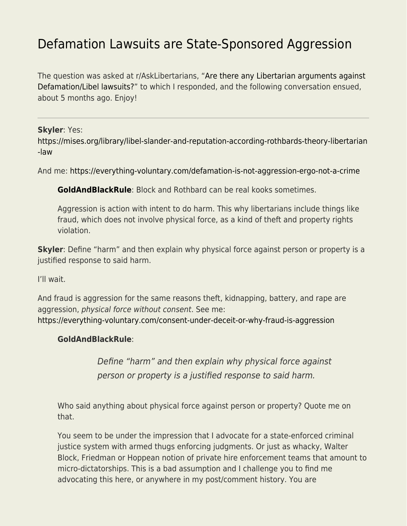# [Defamation Lawsuits are State-Sponsored Aggression](https://everything-voluntary.com/defamation-lawsuits-are-state-sponsored-aggression)

The question was asked at r/AskLibertarians, "[Are there any Libertarian arguments against](https://www.reddit.com/r/AskLibertarians/comments/rq6dai/are_there_any_libertarian_arguments_against/) [Defamation/Libel lawsuits?"](https://www.reddit.com/r/AskLibertarians/comments/rq6dai/are_there_any_libertarian_arguments_against/) to which I responded, and the following conversation ensued, about 5 months ago. Enjoy!

#### **Skyler**: Yes:

[https://mises.org/library/libel-slander-and-reputation-according-rothbards-theory-libertarian](https://mises.org/library/libel-slander-and-reputation-according-rothbards-theory-libertarian-law) [-law](https://mises.org/library/libel-slander-and-reputation-according-rothbards-theory-libertarian-law)

And me:<https://everything-voluntary.com/defamation-is-not-aggression-ergo-not-a-crime>

**[GoldAndBlackRule](https://www.reddit.com/user/GoldAndBlackRule/)**: Block and Rothbard can be real kooks sometimes.

Aggression is action with intent to do harm. This why libertarians include things like fraud, which does not involve physical force, as a kind of theft and property rights violation.

**Skyler**: Define "harm" and then explain why physical force against person or property is a justified response to said harm.

I'll wait.

And fraud is aggression for the same reasons theft, kidnapping, battery, and rape are aggression, physical force without consent. See me: <https://everything-voluntary.com/consent-under-deceit-or-why-fraud-is-aggression>

#### **GoldAndBlackRule**:

Define "harm" and then explain why physical force against person or property is a justified response to said harm.

Who said anything about physical force against person or property? Quote me on that.

You seem to be under the impression that I advocate for a state-enforced criminal justice system with armed thugs enforcing judgments. Or just as whacky, Walter Block, Friedman or Hoppean notion of private hire enforcement teams that amount to micro-dictatorships. This is a bad assumption and I challenge you to find me advocating this here, or anywhere in my post/comment history. You are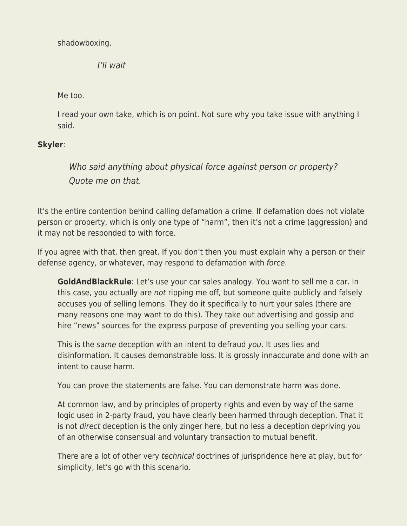shadowboxing.

I'll wait

Me too.

I read your own take, which is on point. Not sure why you take issue with anything I said.

# **Skyler**:

Who said anything about physical force against person or property? Quote me on that.

It's the entire contention behind calling defamation a crime. If defamation does not violate person or property, which is only one type of "harm", then it's not a crime (aggression) and it may not be responded to with force.

If you agree with that, then great. If you don't then you must explain why a person or their defense agency, or whatever, may respond to defamation with force.

**GoldAndBlackRule**: Let's use your car sales analogy. You want to sell me a car. In this case, you actually are not ripping me off, but someone quite publicly and falsely accuses you of selling lemons. They do it specifically to hurt your sales (there are many reasons one may want to do this). They take out advertising and gossip and hire "news" sources for the express purpose of preventing you selling your cars.

This is the same deception with an intent to defraud you. It uses lies and disinformation. It causes demonstrable loss. It is grossly innaccurate and done with an intent to cause harm.

You can prove the statements are false. You can demonstrate harm was done.

At common law, and by principles of property rights and even by way of the same logic used in 2-party fraud, you have clearly been harmed through deception. That it is not direct deception is the only zinger here, but no less a deception depriving you of an otherwise consensual and voluntary transaction to mutual benefit.

There are a lot of other very technical doctrines of jurispridence here at play, but for simplicity, let's go with this scenario.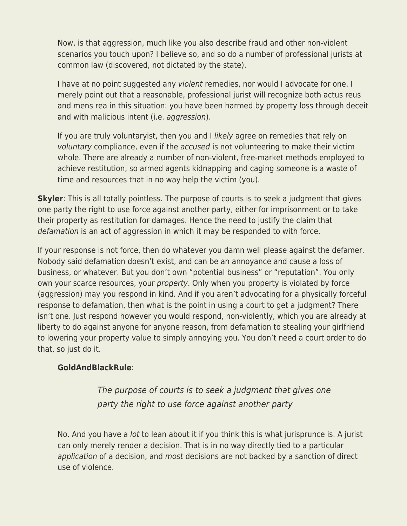Now, is that aggression, much like you also describe fraud and other non-violent scenarios you touch upon? I believe so, and so do a number of professional jurists at common law (discovered, not dictated by the state).

I have at no point suggested any violent remedies, nor would I advocate for one. I merely point out that a reasonable, professional jurist will recognize both actus reus and mens rea in this situation: you have been harmed by property loss through deceit and with malicious intent (i.e. aggression).

If you are truly voluntaryist, then you and I likely agree on remedies that rely on voluntary compliance, even if the accused is not volunteering to make their victim whole. There are already a number of non-violent, free-market methods employed to achieve restitution, so armed agents kidnapping and caging someone is a waste of time and resources that in no way help the victim (you).

**Skyler**: This is all totally pointless. The purpose of courts is to seek a judgment that gives one party the right to use force against another party, either for imprisonment or to take their property as restitution for damages. Hence the need to justify the claim that defamation is an act of aggression in which it may be responded to with force.

If your response is not force, then do whatever you damn well please against the defamer. Nobody said defamation doesn't exist, and can be an annoyance and cause a loss of business, or whatever. But you don't own "potential business" or "reputation". You only own your scarce resources, your property. Only when you property is violated by force (aggression) may you respond in kind. And if you aren't advocating for a physically forceful response to defamation, then what is the point in using a court to get a judgment? There isn't one. Just respond however you would respond, non-violently, which you are already at liberty to do against anyone for anyone reason, from defamation to stealing your girlfriend to lowering your property value to simply annoying you. You don't need a court order to do that, so just do it.

## **GoldAndBlackRule**:

The purpose of courts is to seek a judgment that gives one party the right to use force against another party

No. And you have a lot to lean about it if you think this is what jurisprunce is. A jurist can only merely render a decision. That is in no way directly tied to a particular application of a decision, and most decisions are not backed by a sanction of direct use of violence.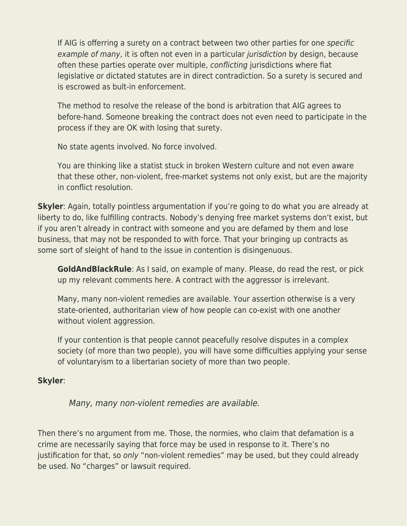If AIG is offerring a surety on a contract between two other parties for one specific example of many, it is often not even in a particular *jurisdiction* by design, because often these parties operate over multiple, conflicting jurisdictions where fiat legislative or dictated statutes are in direct contradiction. So a surety is secured and is escrowed as bult-in enforcement.

The method to resolve the release of the bond is arbitration that AIG agrees to before-hand. Someone breaking the contract does not even need to participate in the process if they are OK with losing that surety.

No state agents involved. No force involved.

You are thinking like a statist stuck in broken Western culture and not even aware that these other, non-violent, free-market systems not only exist, but are the majority in conflict resolution.

**Skyler**: Again, totally pointless argumentation if you're going to do what you are already at liberty to do, like fulfilling contracts. Nobody's denying free market systems don't exist, but if you aren't already in contract with someone and you are defamed by them and lose business, that may not be responded to with force. That your bringing up contracts as some sort of sleight of hand to the issue in contention is disingenuous.

**GoldAndBlackRule**: As I said, on example of many. Please, do read the rest, or pick up my relevant comments here. A contract with the aggressor is irrelevant.

Many, many non-violent remedies are available. Your assertion otherwise is a very state-oriented, authoritarian view of how people can co-exist with one another without violent aggression.

If your contention is that people cannot peacefully resolve disputes in a complex society (of more than two people), you will have some difficulties applying your sense of voluntaryism to a libertarian society of more than two people.

# **Skyler**:

Many, many non-violent remedies are available.

Then there's no argument from me. Those, the normies, who claim that defamation is a crime are necessarily saying that force may be used in response to it. There's no justification for that, so only "non-violent remedies" may be used, but they could already be used. No "charges" or lawsuit required.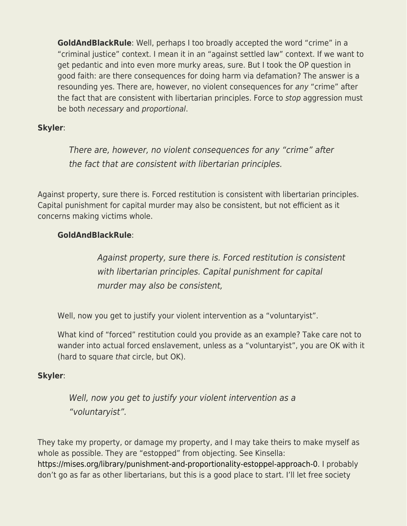**GoldAndBlackRule**: Well, perhaps I too broadly accepted the word "crime" in a "criminal justice" context. I mean it in an "against settled law" context. If we want to get pedantic and into even more murky areas, sure. But I took the OP question in good faith: are there consequences for doing harm via defamation? The answer is a resounding yes. There are, however, no violent consequences for any "crime" after the fact that are consistent with libertarian principles. Force to stop aggression must be both necessary and proportional.

## **Skyler**:

There are, however, no violent consequences for any "crime" after the fact that are consistent with libertarian principles.

Against property, sure there is. Forced restitution is consistent with libertarian principles. Capital punishment for capital murder may also be consistent, but not efficient as it concerns making victims whole.

# **GoldAndBlackRule**:

Against property, sure there is. Forced restitution is consistent with libertarian principles. Capital punishment for capital murder may also be consistent,

Well, now you get to justify your violent intervention as a "voluntaryist".

What kind of "forced" restitution could you provide as an example? Take care not to wander into actual forced enslavement, unless as a "voluntaryist", you are OK with it (hard to square that circle, but OK).

## **Skyler**:

Well, now you get to justify your violent intervention as a "voluntaryist".

They take my property, or damage my property, and I may take theirs to make myself as whole as possible. They are "estopped" from objecting. See Kinsella: [https://mises.org/library/punishment-and-proportionality-estoppel-approach-0.](https://mises.org/library/punishment-and-proportionality-estoppel-approach-0) I probably don't go as far as other libertarians, but this is a good place to start. I'll let free society